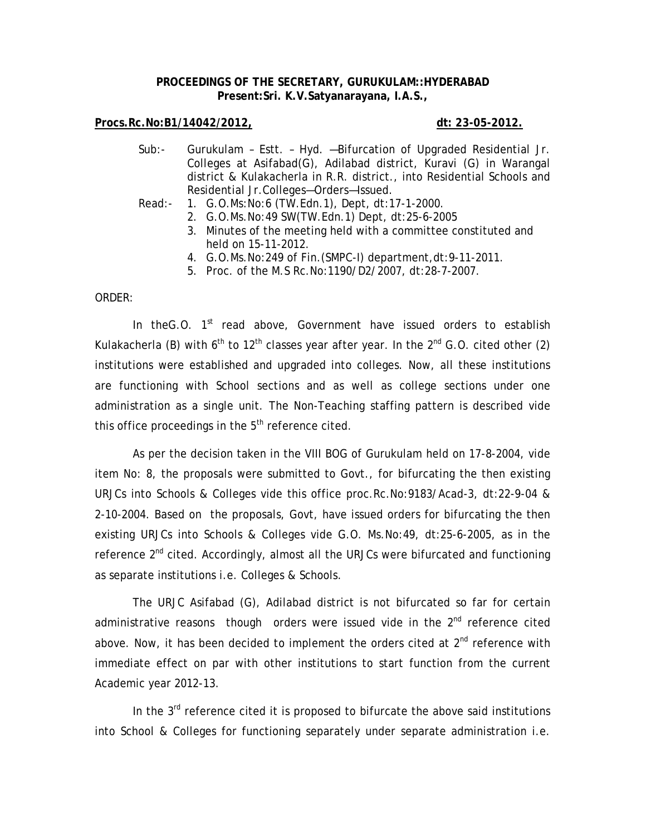## **PROCEEDINGS OF THE SECRETARY, GURUKULAM::HYDERABAD Present:Sri. K.V.Satyanarayana, I.A.S.,**

## **Procs.Rc.No:B1/14042/2012, dt: 23-05-2012.**

- Sub:- Gurukulam Estt. Hyd. —Bifurcation of Upgraded Residential Jr. Colleges at Asifabad(G), Adilabad district, Kuravi (G) in Warangal district & Kulakacherla in R.R. district., into Residential Schools and Residential Jr.Colleges—Orders—Issued.
- Read:- 1. G.O.Ms:No:6 (TW.Edn.1), Dept, dt:17-1-2000.
	- 2. G.O.Ms.No:49 SW(TW.Edn.1) Dept, dt:25-6-2005
	- 3. Minutes of the meeting held with a committee constituted and held on 15-11-2012.
	- 4. G.O.Ms.No:249 of Fin.(SMPC-I) department,dt:9-11-2011.
	- 5. Proc. of the M.S Rc.No:1190/D2/2007, dt:28-7-2007.

## ORDER:

In the G.O.  $1<sup>st</sup>$  read above, Government have issued orders to establish Kulakacherla (B) with  $6<sup>th</sup>$  to 12<sup>th</sup> classes year after year. In the 2<sup>nd</sup> G.O. cited other (2) institutions were established and upgraded into colleges. Now, all these institutions are functioning with School sections and as well as college sections under one administration as a single unit. The Non-Teaching staffing pattern is described vide this office proceedings in the  $5<sup>th</sup>$  reference cited.

 As per the decision taken in the VIII BOG of Gurukulam held on 17-8-2004, vide item No: 8, the proposals were submitted to Govt., for bifurcating the then existing URJCs into Schools & Colleges vide this office proc.Rc.No:9183/Acad-3, dt:22-9-04 & 2-10-2004. Based on the proposals, Govt, have issued orders for bifurcating the then existing URJCs into Schools & Colleges vide G.O. Ms.No:49, dt:25-6-2005, as in the reference 2<sup>nd</sup> cited. Accordingly, almost all the URJCs were bifurcated and functioning as separate institutions i.e. Colleges & Schools.

 The URJC Asifabad (G), Adilabad district is not bifurcated so far for certain administrative reasons though orders were issued vide in the  $2<sup>nd</sup>$  reference cited above. Now, it has been decided to implement the orders cited at  $2^{nd}$  reference with immediate effect on par with other institutions to start function from the current Academic year 2012-13.

In the  $3<sup>rd</sup>$  reference cited it is proposed to bifurcate the above said institutions into School & Colleges for functioning separately under separate administration i.e.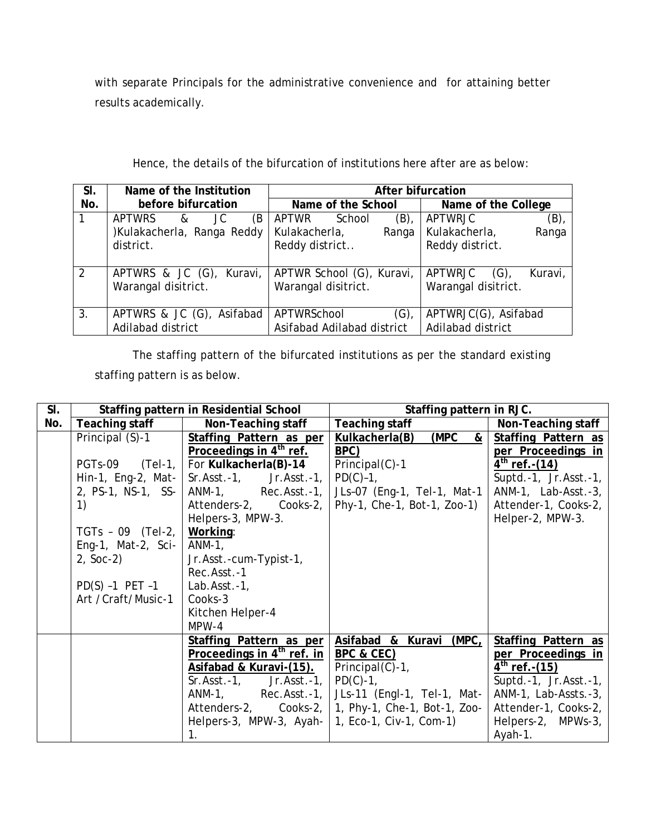with separate Principals for the administrative convenience and for attaining better results academically.

| SI.            | Name of the Institution               | After bifurcation          |                               |  |  |  |
|----------------|---------------------------------------|----------------------------|-------------------------------|--|--|--|
| No.            | before bifurcation                    | Name of the School         | Name of the College           |  |  |  |
| $\mathbf{1}$   | <b>APTWRS</b><br>JC<br>(B<br>$\alpha$ | $(B)$ ,<br>APTWR<br>School | <b>APTWRJC</b><br>$(B)$ ,     |  |  |  |
|                | )Kulakacherla, Ranga Reddy            | Kulakacherla,<br>Ranga     | Kulakacherla,<br>Ranga        |  |  |  |
|                | district.                             | Reddy district             | Reddy district.               |  |  |  |
|                |                                       |                            |                               |  |  |  |
| $\overline{2}$ | APTWRS & JC (G), Kuravi,              | APTWR School (G), Kuravi,  | APTWRJC<br>$(G)$ ,<br>Kuravi, |  |  |  |
|                | Warangal disitrict.                   | Warangal disitrict.        | Warangal disitrict.           |  |  |  |
|                |                                       |                            |                               |  |  |  |
| 3.             | APTWRS & JC (G), Asifabad             | APTWRSchool<br>(G),        | APTWRJC(G), Asifabad          |  |  |  |
|                | Adilabad district                     | Asifabad Adilabad district | Adilabad district             |  |  |  |
|                |                                       |                            |                               |  |  |  |

Hence, the details of the bifurcation of institutions here after are as below:

 The staffing pattern of the bifurcated institutions as per the standard existing staffing pattern is as below.

| SI. | Staffing pattern in Residential School         |                                      | Staffing pattern in RJC.                        |                            |  |
|-----|------------------------------------------------|--------------------------------------|-------------------------------------------------|----------------------------|--|
| No. | Teaching staff                                 | Non-Teaching staff                   | Teaching staff                                  | Non-Teaching staff         |  |
|     | Principal (S)-1                                | Staffing Pattern as per              | (MPC<br>Kulkacherla(B)<br>$\boldsymbol{\delta}$ | Staffing Pattern as        |  |
|     |                                                | Proceedings in 4 <sup>th</sup> ref.  | BPC)                                            | per Proceedings in         |  |
|     | $PGTs-09$ $(Tel-1,  $                          | For Kulkacherla(B)-14                | Principal(C)-1                                  | $4^{th}$ ref. - (14)       |  |
|     | Hin-1, Eng-2, Mat-                             | $Sr.Asst.-1,$ Jr.Asst.-1,            | $PD(C)-1$ ,                                     | Suptd.-1, $Jr.Asst.-1$ ,   |  |
|     | 2, PS-1, NS-1, SS-                             | ANM-1, Rec.Asst.-1,                  | JLs-07 (Eng-1, Tel-1, Mat-1                     | ANM-1, Lab-Asst.-3,        |  |
|     | $\left( \begin{matrix} 1 \end{matrix} \right)$ | Attenders-2, Cooks-2,                | Phy-1, Che-1, Bot-1, Zoo-1)                     | Attender-1, Cooks-2,       |  |
|     |                                                | Helpers-3, MPW-3.                    |                                                 | Helper-2, MPW-3.           |  |
|     | TGTs - 09 $(Tel-2, )$                          | Working:                             |                                                 |                            |  |
|     | Eng-1, Mat-2, Sci-                             | ANM-1,                               |                                                 |                            |  |
|     | $2, Soc-2)$                                    | Jr.Asst.-cum-Typist-1,               |                                                 |                            |  |
|     |                                                | Rec.Asst.-1                          |                                                 |                            |  |
|     | $PD(S) -1$ PET $-1$                            | Lab. $\text{Asst.-1}$ ,              |                                                 |                            |  |
|     | Art / Craft/Music-1                            | Cooks-3                              |                                                 |                            |  |
|     |                                                | Kitchen Helper-4                     |                                                 |                            |  |
|     |                                                | $MPW-4$                              |                                                 |                            |  |
|     |                                                | Staffing Pattern as per              | Asifabad & Kuravi (MPC,                         | <b>Staffing Pattern as</b> |  |
|     |                                                | Proceedings in $4th$ ref. in         | BPC & CEC)                                      | per Proceedings in         |  |
|     |                                                | Asifabad & Kuravi-(15).              | $Principal(C)-1$ ,                              | $4^{th}$ ref. - (15)       |  |
|     |                                                | Jr.Asst.-1, $\vert$<br>$Sr.Asst.-1,$ | $PD(C)-1$ ,                                     | Suptd.-1, $Jr.Asst.-1$ ,   |  |
|     |                                                | $Rec.Asst.-1,$<br>ANM-1,             | JLs-11 (Engl-1, Tel-1, Mat-                     | ANM-1, Lab-Assts.-3,       |  |
|     |                                                | Attenders-2, Cooks-2,                | 1, Phy-1, Che-1, Bot-1, Zoo-                    | Attender-1, Cooks-2,       |  |
|     |                                                | Helpers-3, MPW-3, Ayah-              | 1, Eco-1, Civ-1, Com-1)                         | Helpers-2,<br>MPWs-3,      |  |
|     |                                                | 1 <sub>1</sub>                       |                                                 | Ayah-1.                    |  |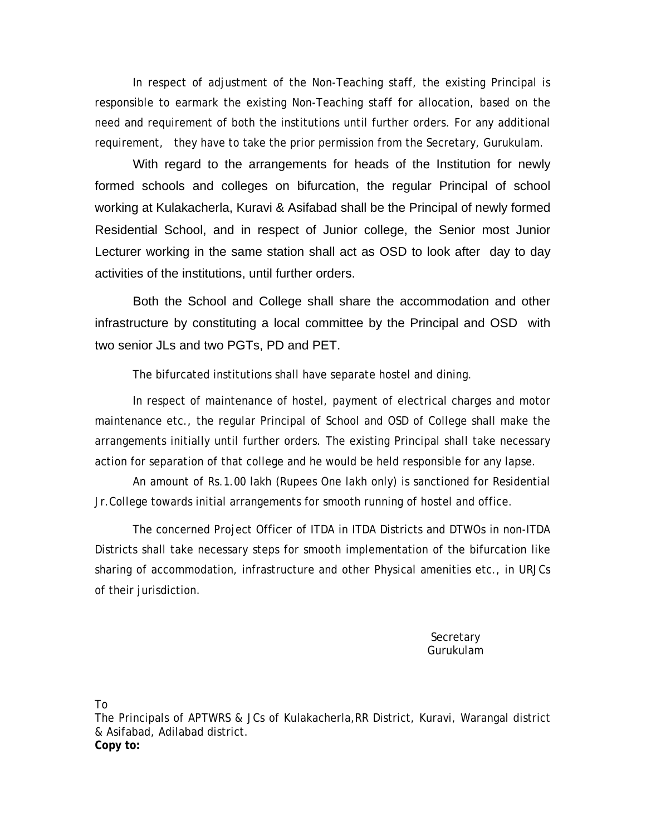In respect of adjustment of the Non-Teaching staff, the existing Principal is responsible to earmark the existing Non-Teaching staff for allocation, based on the need and requirement of both the institutions until further orders. For any additional requirement, they have to take the prior permission from the Secretary, Gurukulam.

With regard to the arrangements for heads of the Institution for newly formed schools and colleges on bifurcation, the regular Principal of school working at Kulakacherla, Kuravi & Asifabad shall be the Principal of newly formed Residential School, and in respect of Junior college, the Senior most Junior Lecturer working in the same station shall act as OSD to look after day to day activities of the institutions, until further orders.

Both the School and College shall share the accommodation and other infrastructure by constituting a local committee by the Principal and OSD with two senior JLs and two PGTs, PD and PET.

The bifurcated institutions shall have separate hostel and dining.

In respect of maintenance of hostel, payment of electrical charges and motor maintenance etc., the regular Principal of School and OSD of College shall make the arrangements initially until further orders. The existing Principal shall take necessary action for separation of that college and he would be held responsible for any lapse.

An amount of Rs.1.00 lakh (Rupees One lakh only) is sanctioned for Residential Jr.College towards initial arrangements for smooth running of hostel and office.

The concerned Project Officer of ITDA in ITDA Districts and DTWOs in non-ITDA Districts shall take necessary steps for smooth implementation of the bifurcation like sharing of accommodation, infrastructure and other Physical amenities etc., in URJCs of their jurisdiction.

> **Secretary** Gurukulam

To

The Principals of APTWRS & JCs of Kulakacherla,RR District, Kuravi, Warangal district & Asifabad, Adilabad district. **Copy to:**